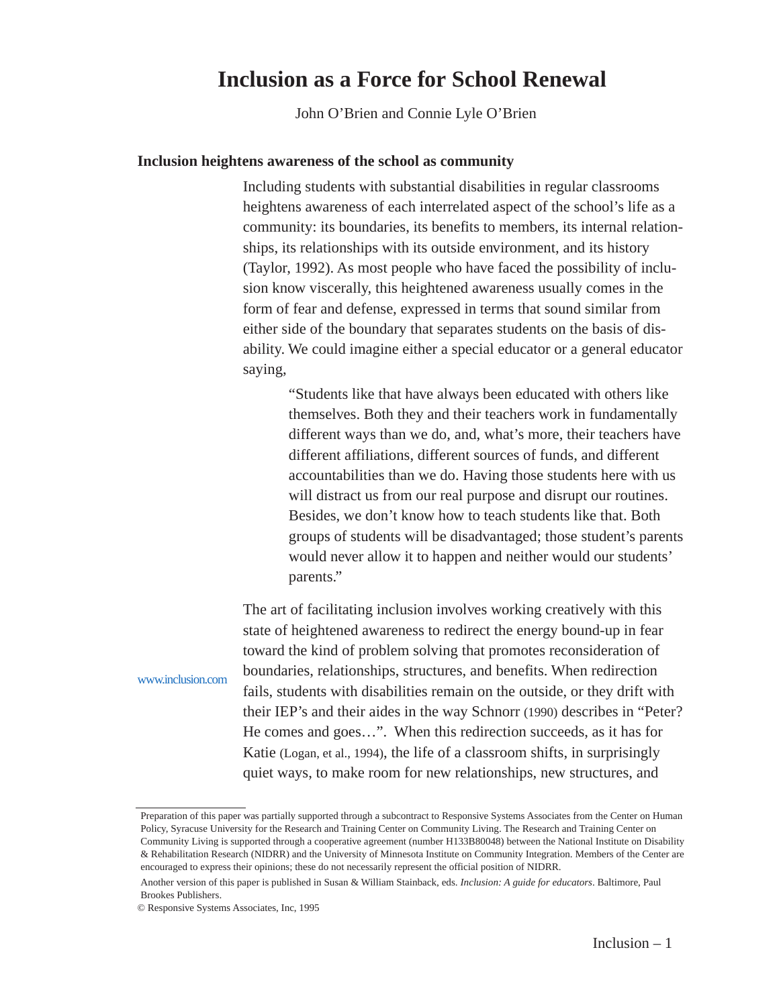## **Inclusion as a Force for School Renewal**

John O'Brien and Connie Lyle O'Brien

## **Inclusion heightens awareness of the school as community**

Including students with substantial disabilities in regular classrooms heightens awareness of each interrelated aspect of the school's life as a community: its boundaries, its benefits to members, its internal relationships, its relationships with its outside environment, and its history (Taylor, 1992). As most people who have faced the possibility of inclusion know viscerally, this heightened awareness usually comes in the form of fear and defense, expressed in terms that sound similar from either side of the boundary that separates students on the basis of disability. We could imagine either a special educator or a general educator saying,

> "Students like that have always been educated with others like themselves. Both they and their teachers work in fundamentally different ways than we do, and, what's more, their teachers have different affiliations, different sources of funds, and different accountabilities than we do. Having those students here with us will distract us from our real purpose and disrupt our routines. Besides, we don't know how to teach students like that. Both groups of students will be disadvantaged; those student's parents would never allow it to happen and neither would our students' parents."

The art of facilitating inclusion involves working creatively with this state of heightened awareness to redirect the energy bound-up in fear toward the kind of problem solving that promotes reconsideration of boundaries, relationships, structures, and benefits. When redirection fails, students with disabilities remain on the outside, or they drift with their IEP's and their aides in the way Schnorr (1990) describes in "Peter? He comes and goes…". When this redirection succeeds, as it has for Katie (Logan, et al., 1994), the life of a classroom shifts, in surprisingly quiet ways, to make room for new relationships, new structures, and

# www.inclusion.com

Preparation of this paper was partially supported through a subcontract to Responsive Systems Associates from the Center on Human Policy, Syracuse University for the Research and Training Center on Community Living. The Research and Training Center on Community Living is supported through a cooperative agreement (number H133B80048) between the National Institute on Disability & Rehabilitation Research (NIDRR) and the University of Minnesota Institute on Community Integration. Members of the Center are encouraged to express their opinions; these do not necessarily represent the official position of NIDRR.

Another version of this paper is published in Susan & William Stainback, eds. *Inclusion: A guide for educators*. Baltimore, Paul Brookes Publishers.

<sup>©</sup> Responsive Systems Associates, Inc, 1995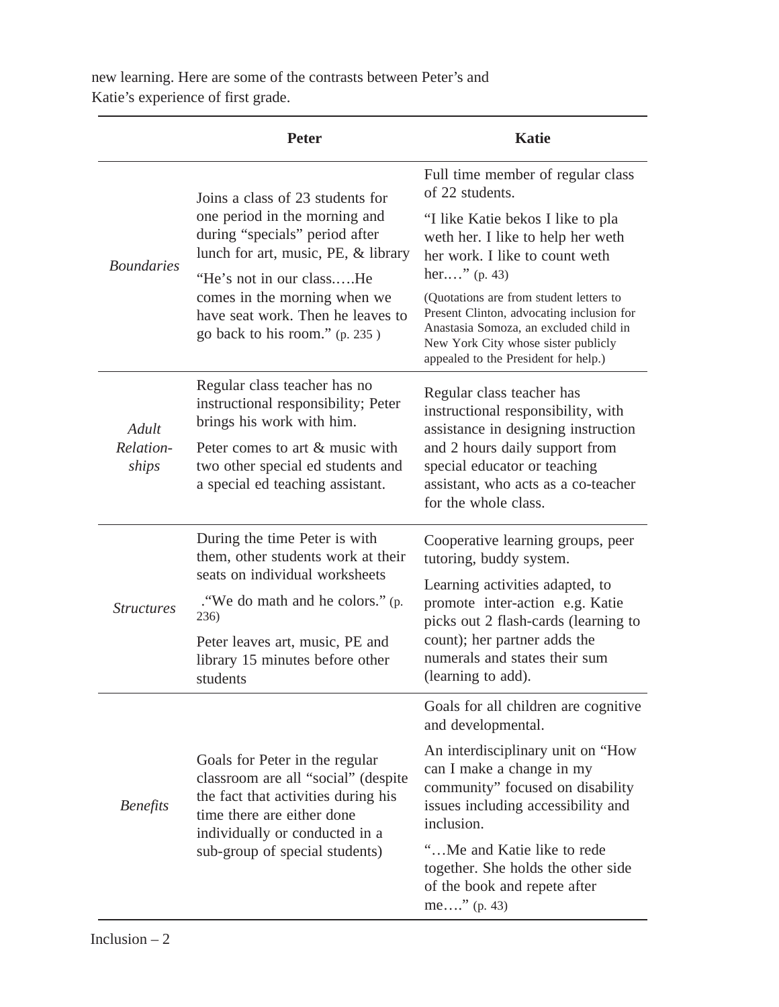new learning. Here are some of the contrasts between Peter's and Katie's experience of first grade.

|                             | <b>Peter</b>                                                                                                                                                                                                                                                                  | <b>Katie</b>                                                                                                                                                                                                                                                      |
|-----------------------------|-------------------------------------------------------------------------------------------------------------------------------------------------------------------------------------------------------------------------------------------------------------------------------|-------------------------------------------------------------------------------------------------------------------------------------------------------------------------------------------------------------------------------------------------------------------|
| <b>Boundaries</b>           | Joins a class of 23 students for<br>one period in the morning and<br>during "specials" period after<br>lunch for art, music, PE, & library<br>"He's not in our classHe<br>comes in the morning when we<br>have seat work. Then he leaves to<br>go back to his room." (p. 235) | Full time member of regular class<br>of 22 students.                                                                                                                                                                                                              |
|                             |                                                                                                                                                                                                                                                                               | "I like Katie bekos I like to pla<br>weth her. I like to help her weth<br>her work. I like to count weth<br>her" $(p. 43)$                                                                                                                                        |
|                             |                                                                                                                                                                                                                                                                               | (Quotations are from student letters to<br>Present Clinton, advocating inclusion for<br>Anastasia Somoza, an excluded child in<br>New York City whose sister publicly<br>appealed to the President for help.)                                                     |
| Adult<br>Relation-<br>ships | Regular class teacher has no<br>instructional responsibility; Peter<br>brings his work with him.                                                                                                                                                                              | Regular class teacher has<br>instructional responsibility, with<br>assistance in designing instruction<br>and 2 hours daily support from<br>special educator or teaching<br>assistant, who acts as a co-teacher<br>for the whole class.                           |
|                             | Peter comes to art & music with<br>two other special ed students and<br>a special ed teaching assistant.                                                                                                                                                                      |                                                                                                                                                                                                                                                                   |
| <b>Structures</b>           | During the time Peter is with<br>them, other students work at their<br>seats on individual worksheets                                                                                                                                                                         | Cooperative learning groups, peer<br>tutoring, buddy system.<br>Learning activities adapted, to<br>promote inter-action e.g. Katie<br>picks out 2 flash-cards (learning to<br>count); her partner adds the<br>numerals and states their sum<br>(learning to add). |
|                             | . "We do math and he colors." (p.<br>236)                                                                                                                                                                                                                                     |                                                                                                                                                                                                                                                                   |
|                             | Peter leaves art, music, PE and<br>library 15 minutes before other<br>students                                                                                                                                                                                                |                                                                                                                                                                                                                                                                   |
| <b>Benefits</b>             | Goals for Peter in the regular<br>classroom are all "social" (despite<br>the fact that activities during his<br>time there are either done<br>individually or conducted in a<br>sub-group of special students)                                                                | Goals for all children are cognitive<br>and developmental.                                                                                                                                                                                                        |
|                             |                                                                                                                                                                                                                                                                               | An interdisciplinary unit on "How<br>can I make a change in my<br>community" focused on disability<br>issues including accessibility and<br>inclusion.                                                                                                            |
|                             |                                                                                                                                                                                                                                                                               | "Me and Katie like to rede<br>together. She holds the other side<br>of the book and repete after<br>me" $(p. 43)$                                                                                                                                                 |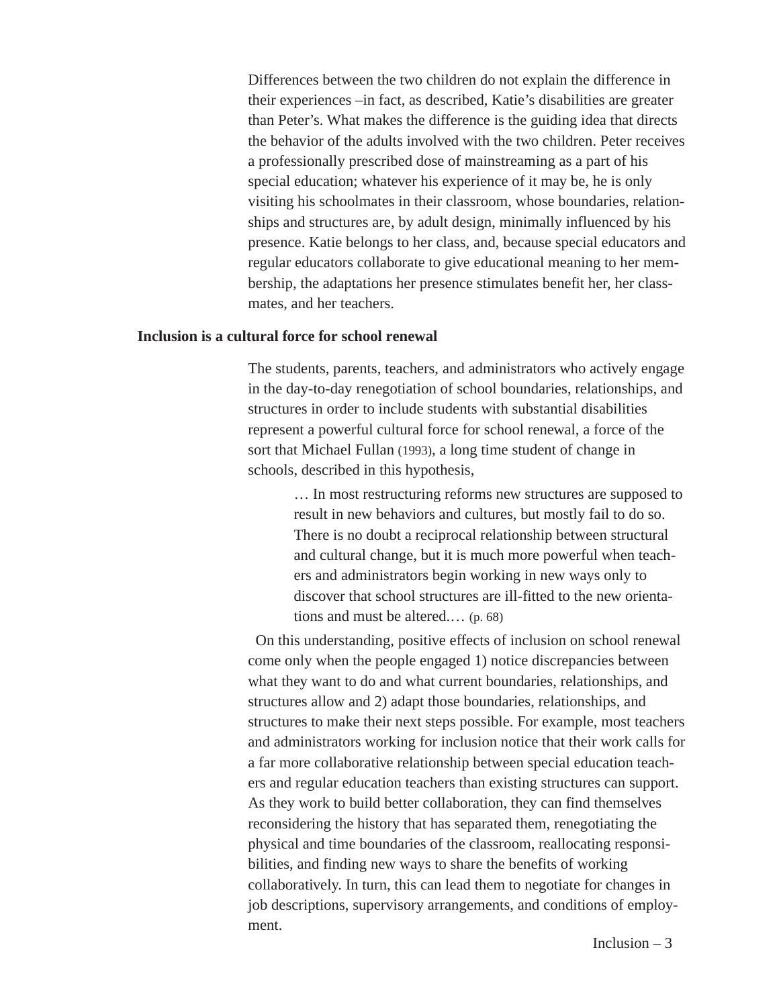Differences between the two children do not explain the difference in their experiences –in fact, as described, Katie's disabilities are greater than Peter's. What makes the difference is the guiding idea that directs the behavior of the adults involved with the two children. Peter receives a professionally prescribed dose of mainstreaming as a part of his special education; whatever his experience of it may be, he is only visiting his schoolmates in their classroom, whose boundaries, relationships and structures are, by adult design, minimally influenced by his presence. Katie belongs to her class, and, because special educators and regular educators collaborate to give educational meaning to her membership, the adaptations her presence stimulates benefit her, her classmates, and her teachers.

## **Inclusion is a cultural force for school renewal**

The students, parents, teachers, and administrators who actively engage in the day-to-day renegotiation of school boundaries, relationships, and structures in order to include students with substantial disabilities represent a powerful cultural force for school renewal, a force of the sort that Michael Fullan (1993), a long time student of change in schools, described in this hypothesis,

> … In most restructuring reforms new structures are supposed to result in new behaviors and cultures, but mostly fail to do so. There is no doubt a reciprocal relationship between structural and cultural change, but it is much more powerful when teachers and administrators begin working in new ways only to discover that school structures are ill-fitted to the new orientations and must be altered.… (p. 68)

On this understanding, positive effects of inclusion on school renewal come only when the people engaged 1) notice discrepancies between what they want to do and what current boundaries, relationships, and structures allow and 2) adapt those boundaries, relationships, and structures to make their next steps possible. For example, most teachers and administrators working for inclusion notice that their work calls for a far more collaborative relationship between special education teachers and regular education teachers than existing structures can support. As they work to build better collaboration, they can find themselves reconsidering the history that has separated them, renegotiating the physical and time boundaries of the classroom, reallocating responsibilities, and finding new ways to share the benefits of working collaboratively. In turn, this can lead them to negotiate for changes in job descriptions, supervisory arrangements, and conditions of employment.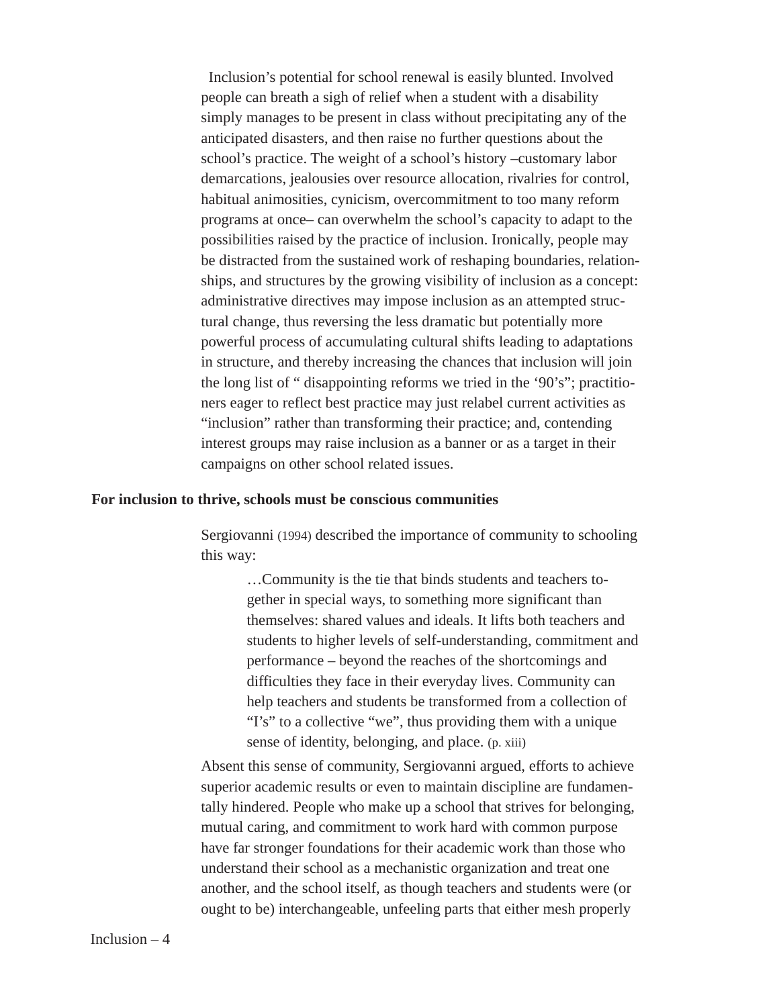Inclusion's potential for school renewal is easily blunted. Involved people can breath a sigh of relief when a student with a disability simply manages to be present in class without precipitating any of the anticipated disasters, and then raise no further questions about the school's practice. The weight of a school's history –customary labor demarcations, jealousies over resource allocation, rivalries for control, habitual animosities, cynicism, overcommitment to too many reform programs at once– can overwhelm the school's capacity to adapt to the possibilities raised by the practice of inclusion. Ironically, people may be distracted from the sustained work of reshaping boundaries, relationships, and structures by the growing visibility of inclusion as a concept: administrative directives may impose inclusion as an attempted structural change, thus reversing the less dramatic but potentially more powerful process of accumulating cultural shifts leading to adaptations in structure, and thereby increasing the chances that inclusion will join the long list of " disappointing reforms we tried in the '90's"; practitioners eager to reflect best practice may just relabel current activities as "inclusion" rather than transforming their practice; and, contending interest groups may raise inclusion as a banner or as a target in their campaigns on other school related issues.

## **For inclusion to thrive, schools must be conscious communities**

Sergiovanni (1994) described the importance of community to schooling this way:

> …Community is the tie that binds students and teachers together in special ways, to something more significant than themselves: shared values and ideals. It lifts both teachers and students to higher levels of self-understanding, commitment and performance – beyond the reaches of the shortcomings and difficulties they face in their everyday lives. Community can help teachers and students be transformed from a collection of "I's" to a collective "we", thus providing them with a unique sense of identity, belonging, and place. (p. xiii)

Absent this sense of community, Sergiovanni argued, efforts to achieve superior academic results or even to maintain discipline are fundamentally hindered. People who make up a school that strives for belonging, mutual caring, and commitment to work hard with common purpose have far stronger foundations for their academic work than those who understand their school as a mechanistic organization and treat one another, and the school itself, as though teachers and students were (or ought to be) interchangeable, unfeeling parts that either mesh properly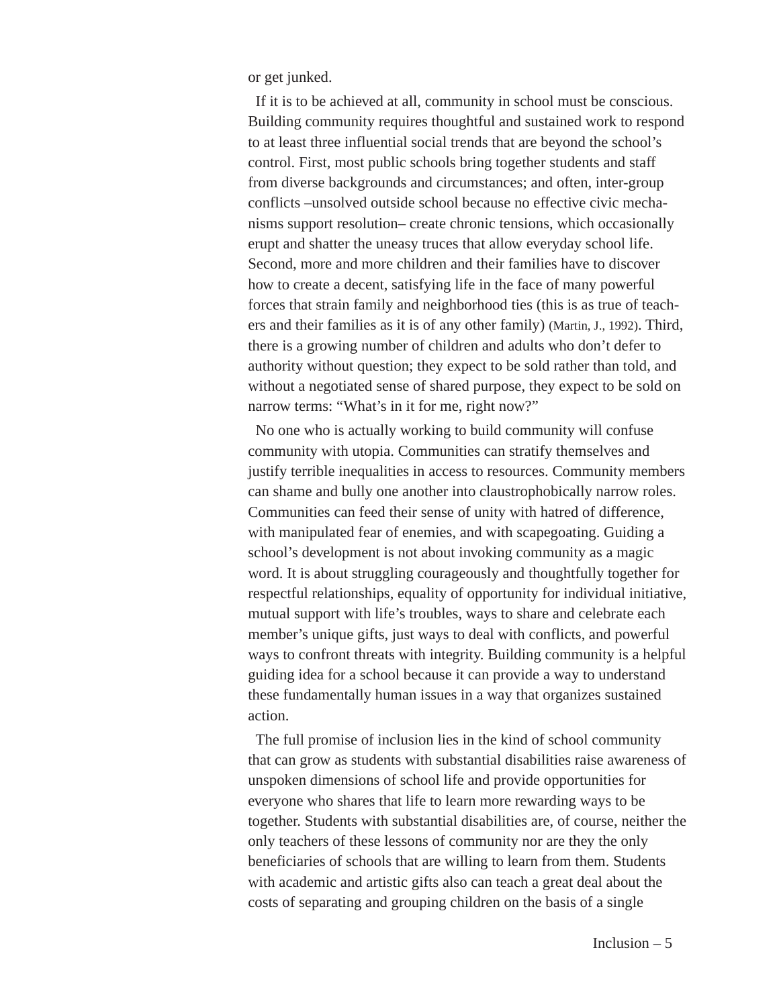or get junked.

If it is to be achieved at all, community in school must be conscious. Building community requires thoughtful and sustained work to respond to at least three influential social trends that are beyond the school's control. First, most public schools bring together students and staff from diverse backgrounds and circumstances; and often, inter-group conflicts –unsolved outside school because no effective civic mechanisms support resolution– create chronic tensions, which occasionally erupt and shatter the uneasy truces that allow everyday school life. Second, more and more children and their families have to discover how to create a decent, satisfying life in the face of many powerful forces that strain family and neighborhood ties (this is as true of teachers and their families as it is of any other family) (Martin, J., 1992). Third, there is a growing number of children and adults who don't defer to authority without question; they expect to be sold rather than told, and without a negotiated sense of shared purpose, they expect to be sold on narrow terms: "What's in it for me, right now?"

No one who is actually working to build community will confuse community with utopia. Communities can stratify themselves and justify terrible inequalities in access to resources. Community members can shame and bully one another into claustrophobically narrow roles. Communities can feed their sense of unity with hatred of difference, with manipulated fear of enemies, and with scapegoating. Guiding a school's development is not about invoking community as a magic word. It is about struggling courageously and thoughtfully together for respectful relationships, equality of opportunity for individual initiative, mutual support with life's troubles, ways to share and celebrate each member's unique gifts, just ways to deal with conflicts, and powerful ways to confront threats with integrity. Building community is a helpful guiding idea for a school because it can provide a way to understand these fundamentally human issues in a way that organizes sustained action.

The full promise of inclusion lies in the kind of school community that can grow as students with substantial disabilities raise awareness of unspoken dimensions of school life and provide opportunities for everyone who shares that life to learn more rewarding ways to be together. Students with substantial disabilities are, of course, neither the only teachers of these lessons of community nor are they the only beneficiaries of schools that are willing to learn from them. Students with academic and artistic gifts also can teach a great deal about the costs of separating and grouping children on the basis of a single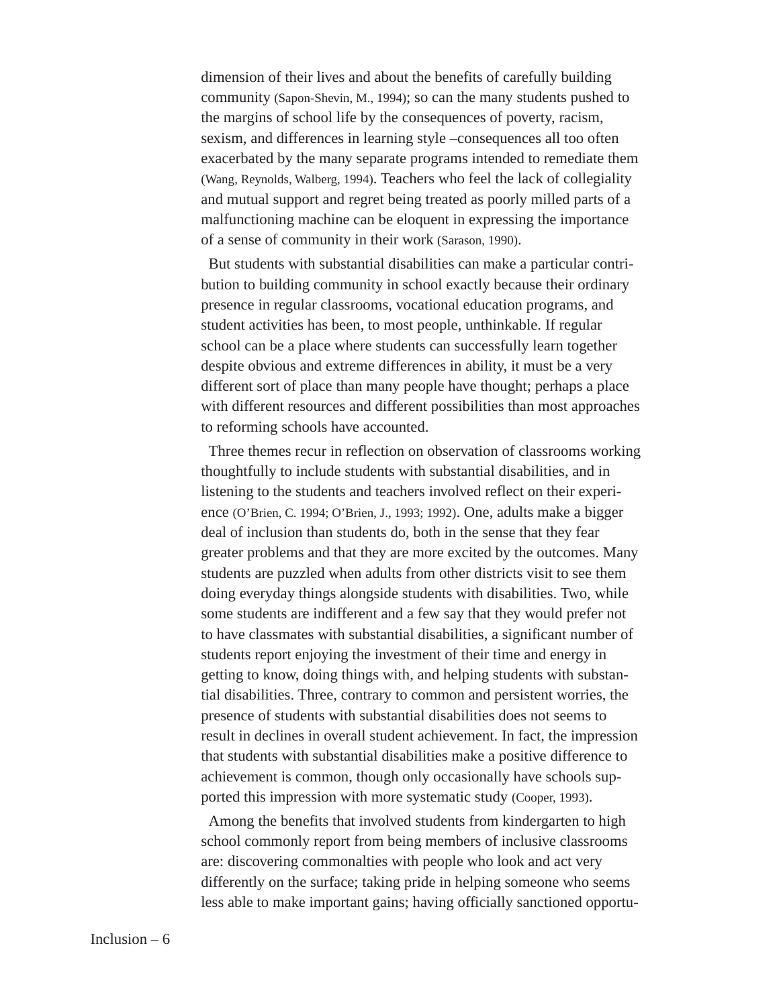dimension of their lives and about the benefits of carefully building community (Sapon-Shevin, M., 1994); so can the many students pushed to the margins of school life by the consequences of poverty, racism, sexism, and differences in learning style –consequences all too often exacerbated by the many separate programs intended to remediate them (Wang, Reynolds, Walberg, 1994). Teachers who feel the lack of collegiality and mutual support and regret being treated as poorly milled parts of a malfunctioning machine can be eloquent in expressing the importance of a sense of community in their work (Sarason, 1990).

But students with substantial disabilities can make a particular contribution to building community in school exactly because their ordinary presence in regular classrooms, vocational education programs, and student activities has been, to most people, unthinkable. If regular school can be a place where students can successfully learn together despite obvious and extreme differences in ability, it must be a very different sort of place than many people have thought; perhaps a place with different resources and different possibilities than most approaches to reforming schools have accounted.

Three themes recur in reflection on observation of classrooms working thoughtfully to include students with substantial disabilities, and in listening to the students and teachers involved reflect on their experience (O'Brien, C. 1994; O'Brien, J., 1993; 1992). One, adults make a bigger deal of inclusion than students do, both in the sense that they fear greater problems and that they are more excited by the outcomes. Many students are puzzled when adults from other districts visit to see them doing everyday things alongside students with disabilities. Two, while some students are indifferent and a few say that they would prefer not to have classmates with substantial disabilities, a significant number of students report enjoying the investment of their time and energy in getting to know, doing things with, and helping students with substantial disabilities. Three, contrary to common and persistent worries, the presence of students with substantial disabilities does not seems to result in declines in overall student achievement. In fact, the impression that students with substantial disabilities make a positive difference to achievement is common, though only occasionally have schools supported this impression with more systematic study (Cooper, 1993).

Among the benefits that involved students from kindergarten to high school commonly report from being members of inclusive classrooms are: discovering commonalties with people who look and act very differently on the surface; taking pride in helping someone who seems less able to make important gains; having officially sanctioned opportu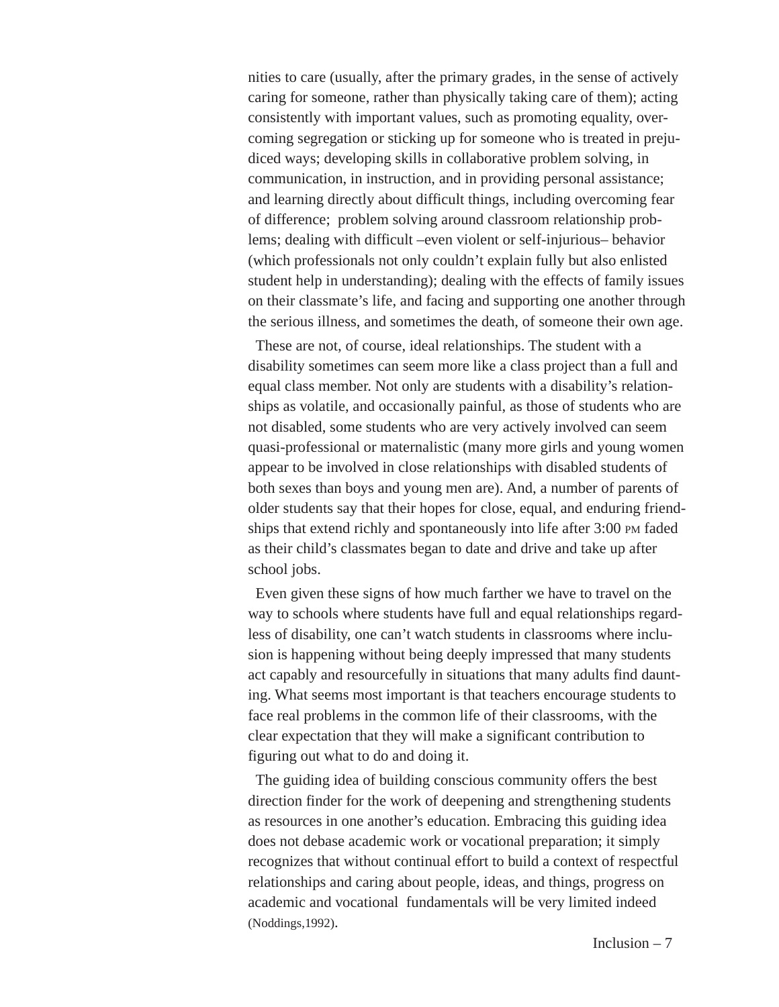nities to care (usually, after the primary grades, in the sense of actively caring for someone, rather than physically taking care of them); acting consistently with important values, such as promoting equality, overcoming segregation or sticking up for someone who is treated in prejudiced ways; developing skills in collaborative problem solving, in communication, in instruction, and in providing personal assistance; and learning directly about difficult things, including overcoming fear of difference; problem solving around classroom relationship problems; dealing with difficult –even violent or self-injurious– behavior (which professionals not only couldn't explain fully but also enlisted student help in understanding); dealing with the effects of family issues on their classmate's life, and facing and supporting one another through the serious illness, and sometimes the death, of someone their own age.

These are not, of course, ideal relationships. The student with a disability sometimes can seem more like a class project than a full and equal class member. Not only are students with a disability's relationships as volatile, and occasionally painful, as those of students who are not disabled, some students who are very actively involved can seem quasi-professional or maternalistic (many more girls and young women appear to be involved in close relationships with disabled students of both sexes than boys and young men are). And, a number of parents of older students say that their hopes for close, equal, and enduring friendships that extend richly and spontaneously into life after 3:00 PM faded as their child's classmates began to date and drive and take up after school jobs.

Even given these signs of how much farther we have to travel on the way to schools where students have full and equal relationships regardless of disability, one can't watch students in classrooms where inclusion is happening without being deeply impressed that many students act capably and resourcefully in situations that many adults find daunting. What seems most important is that teachers encourage students to face real problems in the common life of their classrooms, with the clear expectation that they will make a significant contribution to figuring out what to do and doing it.

The guiding idea of building conscious community offers the best direction finder for the work of deepening and strengthening students as resources in one another's education. Embracing this guiding idea does not debase academic work or vocational preparation; it simply recognizes that without continual effort to build a context of respectful relationships and caring about people, ideas, and things, progress on academic and vocational fundamentals will be very limited indeed (Noddings,1992).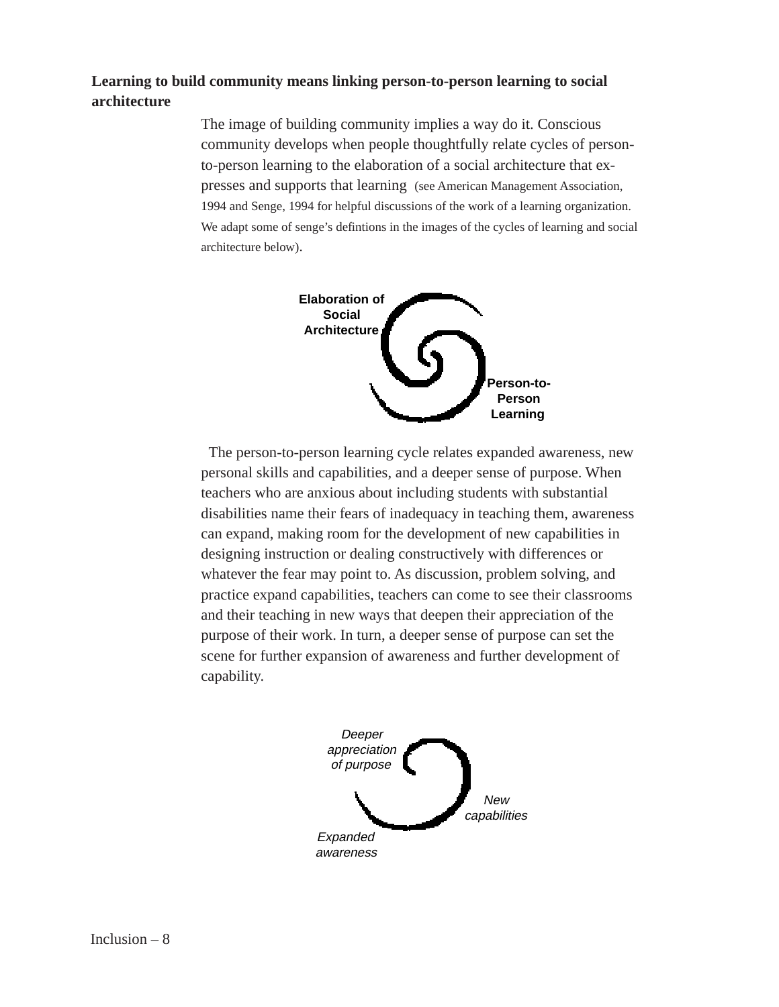## **Learning to build community means linking person-to-person learning to social architecture**

The image of building community implies a way do it. Conscious community develops when people thoughtfully relate cycles of personto-person learning to the elaboration of a social architecture that expresses and supports that learning (see American Management Association, 1994 and Senge, 1994 for helpful discussions of the work of a learning organization. We adapt some of senge's defintions in the images of the cycles of learning and social architecture below).



The person-to-person learning cycle relates expanded awareness, new personal skills and capabilities, and a deeper sense of purpose. When teachers who are anxious about including students with substantial disabilities name their fears of inadequacy in teaching them, awareness can expand, making room for the development of new capabilities in designing instruction or dealing constructively with differences or whatever the fear may point to. As discussion, problem solving, and practice expand capabilities, teachers can come to see their classrooms and their teaching in new ways that deepen their appreciation of the purpose of their work. In turn, a deeper sense of purpose can set the scene for further expansion of awareness and further development of capability.

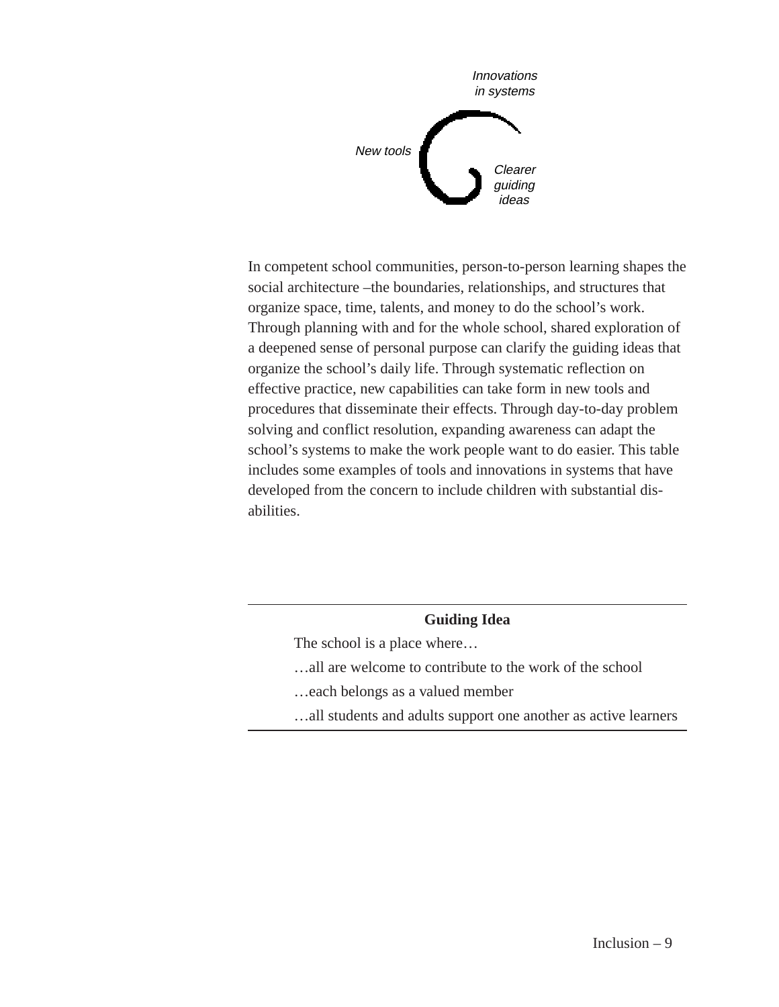

In competent school communities, person-to-person learning shapes the social architecture –the boundaries, relationships, and structures that organize space, time, talents, and money to do the school's work. Through planning with and for the whole school, shared exploration of a deepened sense of personal purpose can clarify the guiding ideas that organize the school's daily life. Through systematic reflection on effective practice, new capabilities can take form in new tools and procedures that disseminate their effects. Through day-to-day problem solving and conflict resolution, expanding awareness can adapt the school's systems to make the work people want to do easier. This table includes some examples of tools and innovations in systems that have developed from the concern to include children with substantial disabilities.

## **Guiding Idea**

The school is a place where…

…all are welcome to contribute to the work of the school

…each belongs as a valued member

…all students and adults support one another as active learners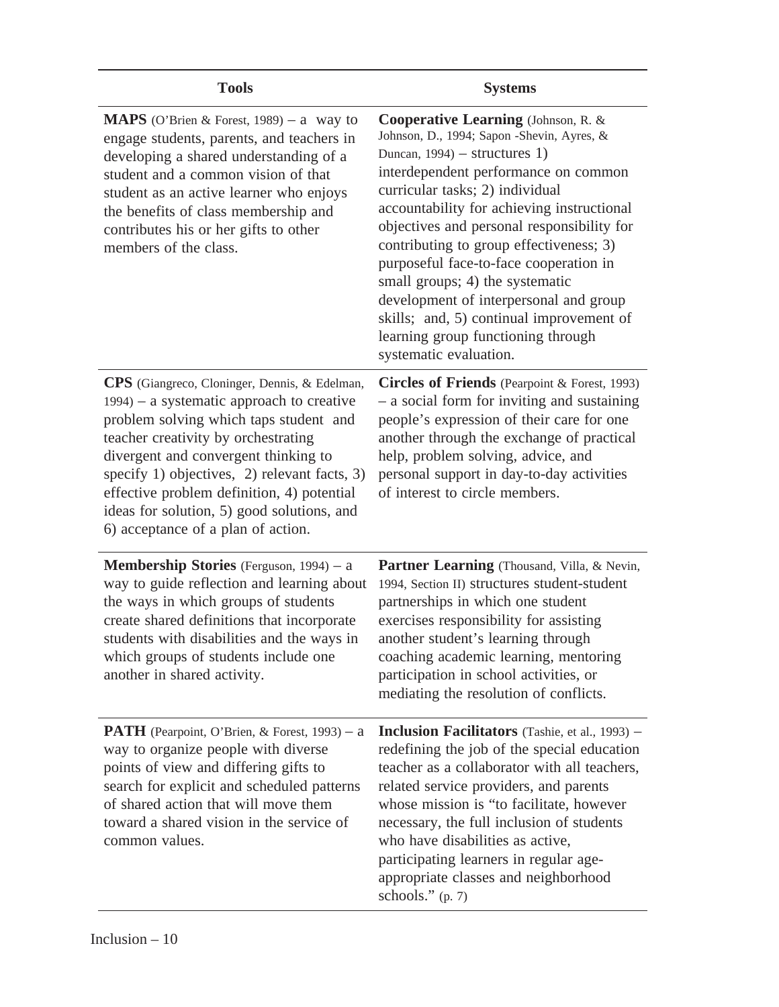| <b>Tools</b>                                                                                                                                                                                                                                                                                                                                                                                           | <b>Systems</b>                                                                                                                                                                                                                                                                                                                                                                                                                                                                                                                                                             |  |
|--------------------------------------------------------------------------------------------------------------------------------------------------------------------------------------------------------------------------------------------------------------------------------------------------------------------------------------------------------------------------------------------------------|----------------------------------------------------------------------------------------------------------------------------------------------------------------------------------------------------------------------------------------------------------------------------------------------------------------------------------------------------------------------------------------------------------------------------------------------------------------------------------------------------------------------------------------------------------------------------|--|
| <b>MAPS</b> (O'Brien & Forest, 1989) – a way to<br>engage students, parents, and teachers in<br>developing a shared understanding of a<br>student and a common vision of that<br>student as an active learner who enjoys<br>the benefits of class membership and<br>contributes his or her gifts to other<br>members of the class.                                                                     | Cooperative Learning (Johnson, R. &<br>Johnson, D., 1994; Sapon -Shevin, Ayres, &<br>Duncan, $1994$ ) – structures 1)<br>interdependent performance on common<br>curricular tasks; 2) individual<br>accountability for achieving instructional<br>objectives and personal responsibility for<br>contributing to group effectiveness; 3)<br>purposeful face-to-face cooperation in<br>small groups; 4) the systematic<br>development of interpersonal and group<br>skills; and, 5) continual improvement of<br>learning group functioning through<br>systematic evaluation. |  |
| CPS (Giangreco, Cloninger, Dennis, & Edelman,<br>$1994$ – a systematic approach to creative<br>problem solving which taps student and<br>teacher creativity by orchestrating<br>divergent and convergent thinking to<br>specify 1) objectives, 2) relevant facts, 3)<br>effective problem definition, 4) potential<br>ideas for solution, 5) good solutions, and<br>6) acceptance of a plan of action. | Circles of Friends (Pearpoint & Forest, 1993)<br>- a social form for inviting and sustaining<br>people's expression of their care for one<br>another through the exchange of practical<br>help, problem solving, advice, and<br>personal support in day-to-day activities<br>of interest to circle members.                                                                                                                                                                                                                                                                |  |
| <b>Membership Stories</b> (Ferguson, 1994) – a<br>way to guide reflection and learning about<br>the ways in which groups of students<br>create shared definitions that incorporate<br>students with disabilities and the ways in<br>which groups of students include one<br>another in shared activity.                                                                                                | <b>Partner Learning</b> (Thousand, Villa, & Nevin,<br>1994, Section II) structures student-student<br>partnerships in which one student<br>exercises responsibility for assisting<br>another student's learning through<br>coaching academic learning, mentoring<br>participation in school activities, or<br>mediating the resolution of conflicts.                                                                                                                                                                                                                       |  |
| <b>PATH</b> (Pearpoint, O'Brien, & Forest, 1993) – a<br>way to organize people with diverse<br>points of view and differing gifts to<br>search for explicit and scheduled patterns<br>of shared action that will move them<br>toward a shared vision in the service of<br>common values.                                                                                                               | <b>Inclusion Facilitators</b> (Tashie, et al., 1993) –<br>redefining the job of the special education<br>teacher as a collaborator with all teachers,<br>related service providers, and parents<br>whose mission is "to facilitate, however<br>necessary, the full inclusion of students<br>who have disabilities as active,<br>participating learners in regular age-<br>appropriate classes and neighborhood<br>schools." $(p. 7)$                                                                                                                                       |  |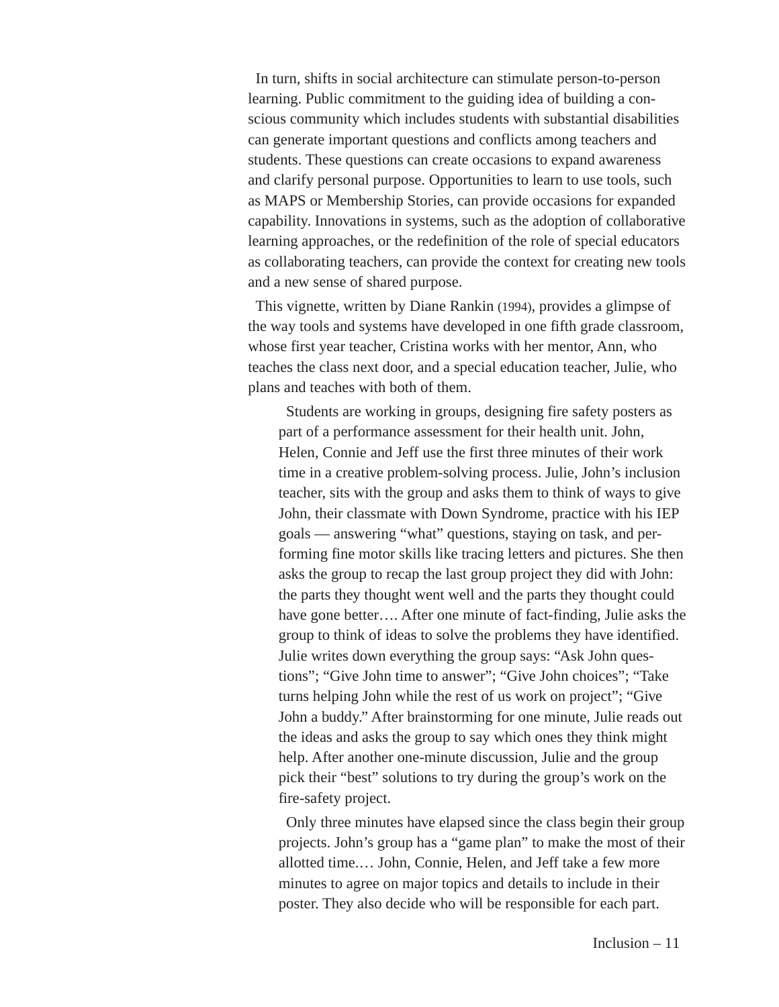In turn, shifts in social architecture can stimulate person-to-person learning. Public commitment to the guiding idea of building a conscious community which includes students with substantial disabilities can generate important questions and conflicts among teachers and students. These questions can create occasions to expand awareness and clarify personal purpose. Opportunities to learn to use tools, such as MAPS or Membership Stories, can provide occasions for expanded capability. Innovations in systems, such as the adoption of collaborative learning approaches, or the redefinition of the role of special educators as collaborating teachers, can provide the context for creating new tools and a new sense of shared purpose.

This vignette, written by Diane Rankin (1994), provides a glimpse of the way tools and systems have developed in one fifth grade classroom, whose first year teacher, Cristina works with her mentor, Ann, who teaches the class next door, and a special education teacher, Julie, who plans and teaches with both of them.

Students are working in groups, designing fire safety posters as part of a performance assessment for their health unit. John, Helen, Connie and Jeff use the first three minutes of their work time in a creative problem-solving process. Julie, John's inclusion teacher, sits with the group and asks them to think of ways to give John, their classmate with Down Syndrome, practice with his IEP goals — answering "what" questions, staying on task, and performing fine motor skills like tracing letters and pictures. She then asks the group to recap the last group project they did with John: the parts they thought went well and the parts they thought could have gone better…. After one minute of fact-finding, Julie asks the group to think of ideas to solve the problems they have identified. Julie writes down everything the group says: "Ask John questions"; "Give John time to answer"; "Give John choices"; "Take turns helping John while the rest of us work on project"; "Give John a buddy." After brainstorming for one minute, Julie reads out the ideas and asks the group to say which ones they think might help. After another one-minute discussion, Julie and the group pick their "best" solutions to try during the group's work on the fire-safety project.

Only three minutes have elapsed since the class begin their group projects. John's group has a "game plan" to make the most of their allotted time.… John, Connie, Helen, and Jeff take a few more minutes to agree on major topics and details to include in their poster. They also decide who will be responsible for each part.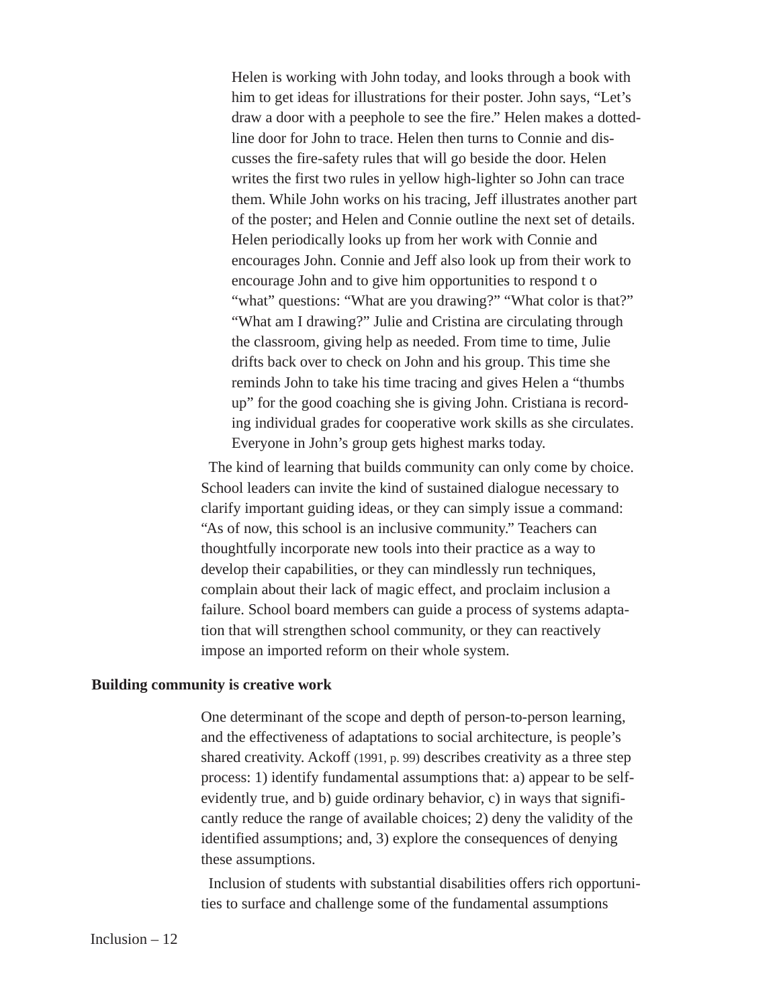Helen is working with John today, and looks through a book with him to get ideas for illustrations for their poster. John says, "Let's draw a door with a peephole to see the fire." Helen makes a dottedline door for John to trace. Helen then turns to Connie and discusses the fire-safety rules that will go beside the door. Helen writes the first two rules in yellow high-lighter so John can trace them. While John works on his tracing, Jeff illustrates another part of the poster; and Helen and Connie outline the next set of details. Helen periodically looks up from her work with Connie and encourages John. Connie and Jeff also look up from their work to encourage John and to give him opportunities to respond t o "what" questions: "What are you drawing?" "What color is that?" "What am I drawing?" Julie and Cristina are circulating through the classroom, giving help as needed. From time to time, Julie drifts back over to check on John and his group. This time she reminds John to take his time tracing and gives Helen a "thumbs up" for the good coaching she is giving John. Cristiana is recording individual grades for cooperative work skills as she circulates. Everyone in John's group gets highest marks today.

The kind of learning that builds community can only come by choice. School leaders can invite the kind of sustained dialogue necessary to clarify important guiding ideas, or they can simply issue a command: "As of now, this school is an inclusive community." Teachers can thoughtfully incorporate new tools into their practice as a way to develop their capabilities, or they can mindlessly run techniques, complain about their lack of magic effect, and proclaim inclusion a failure. School board members can guide a process of systems adaptation that will strengthen school community, or they can reactively impose an imported reform on their whole system.

#### **Building community is creative work**

One determinant of the scope and depth of person-to-person learning, and the effectiveness of adaptations to social architecture, is people's shared creativity. Ackoff (1991, p. 99) describes creativity as a three step process: 1) identify fundamental assumptions that: a) appear to be selfevidently true, and b) guide ordinary behavior, c) in ways that significantly reduce the range of available choices; 2) deny the validity of the identified assumptions; and, 3) explore the consequences of denying these assumptions.

Inclusion of students with substantial disabilities offers rich opportunities to surface and challenge some of the fundamental assumptions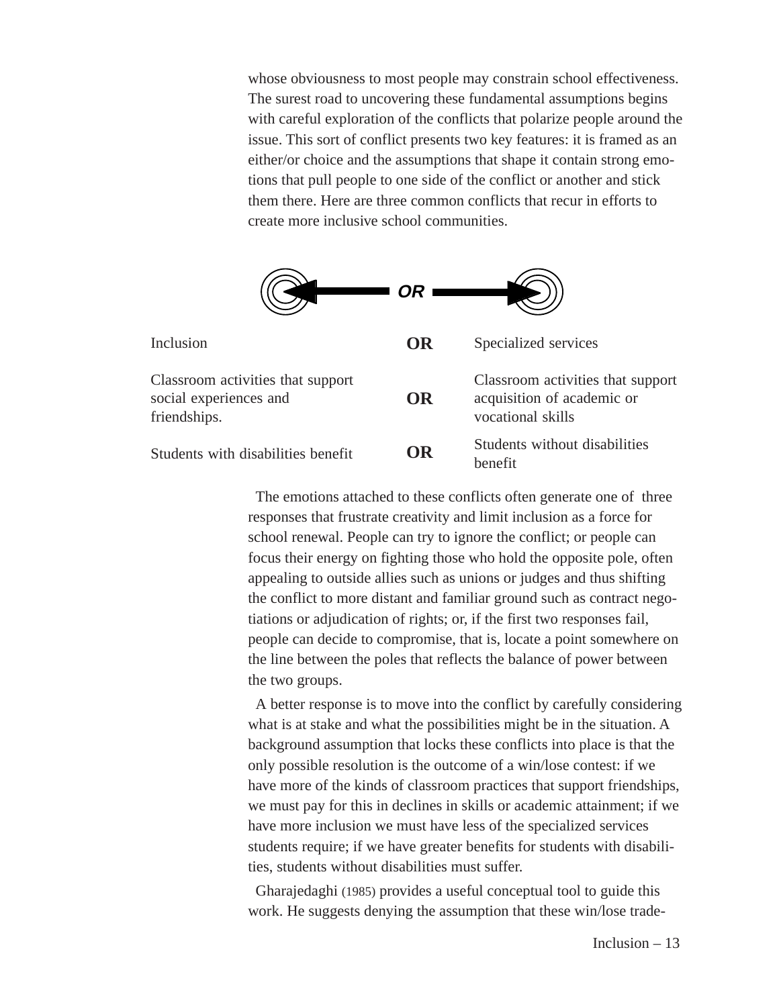whose obviousness to most people may constrain school effectiveness. The surest road to uncovering these fundamental assumptions begins with careful exploration of the conflicts that polarize people around the issue. This sort of conflict presents two key features: it is framed as an either/or choice and the assumptions that shape it contain strong emotions that pull people to one side of the conflict or another and stick them there. Here are three common conflicts that recur in efforts to create more inclusive school communities.

|                                                                             | OR |                                                                                      |
|-----------------------------------------------------------------------------|----|--------------------------------------------------------------------------------------|
| Inclusion                                                                   | OR | Specialized services                                                                 |
| Classroom activities that support<br>social experiences and<br>friendships. | OR | Classroom activities that support<br>acquisition of academic or<br>vocational skills |
| Students with disabilities benefit                                          | OR | Students without disabilities<br>benefit                                             |

The emotions attached to these conflicts often generate one of three responses that frustrate creativity and limit inclusion as a force for school renewal. People can try to ignore the conflict; or people can focus their energy on fighting those who hold the opposite pole, often appealing to outside allies such as unions or judges and thus shifting the conflict to more distant and familiar ground such as contract negotiations or adjudication of rights; or, if the first two responses fail, people can decide to compromise, that is, locate a point somewhere on the line between the poles that reflects the balance of power between the two groups.

A better response is to move into the conflict by carefully considering what is at stake and what the possibilities might be in the situation. A background assumption that locks these conflicts into place is that the only possible resolution is the outcome of a win/lose contest: if we have more of the kinds of classroom practices that support friendships, we must pay for this in declines in skills or academic attainment; if we have more inclusion we must have less of the specialized services students require; if we have greater benefits for students with disabilities, students without disabilities must suffer.

Gharajedaghi (1985) provides a useful conceptual tool to guide this work. He suggests denying the assumption that these win/lose trade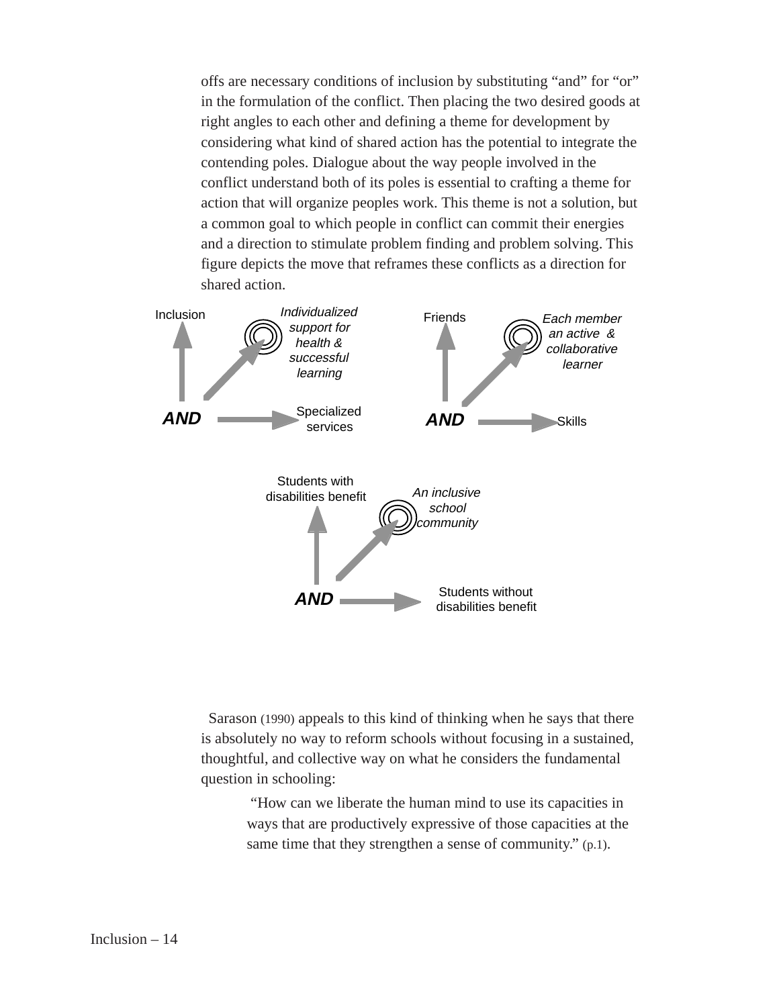offs are necessary conditions of inclusion by substituting "and" for "or" in the formulation of the conflict. Then placing the two desired goods at right angles to each other and defining a theme for development by considering what kind of shared action has the potential to integrate the contending poles. Dialogue about the way people involved in the conflict understand both of its poles is essential to crafting a theme for action that will organize peoples work. This theme is not a solution, but a common goal to which people in conflict can commit their energies and a direction to stimulate problem finding and problem solving. This figure depicts the move that reframes these conflicts as a direction for shared action.



Sarason (1990) appeals to this kind of thinking when he says that there is absolutely no way to reform schools without focusing in a sustained, thoughtful, and collective way on what he considers the fundamental question in schooling:

> "How can we liberate the human mind to use its capacities in ways that are productively expressive of those capacities at the same time that they strengthen a sense of community." (p.1).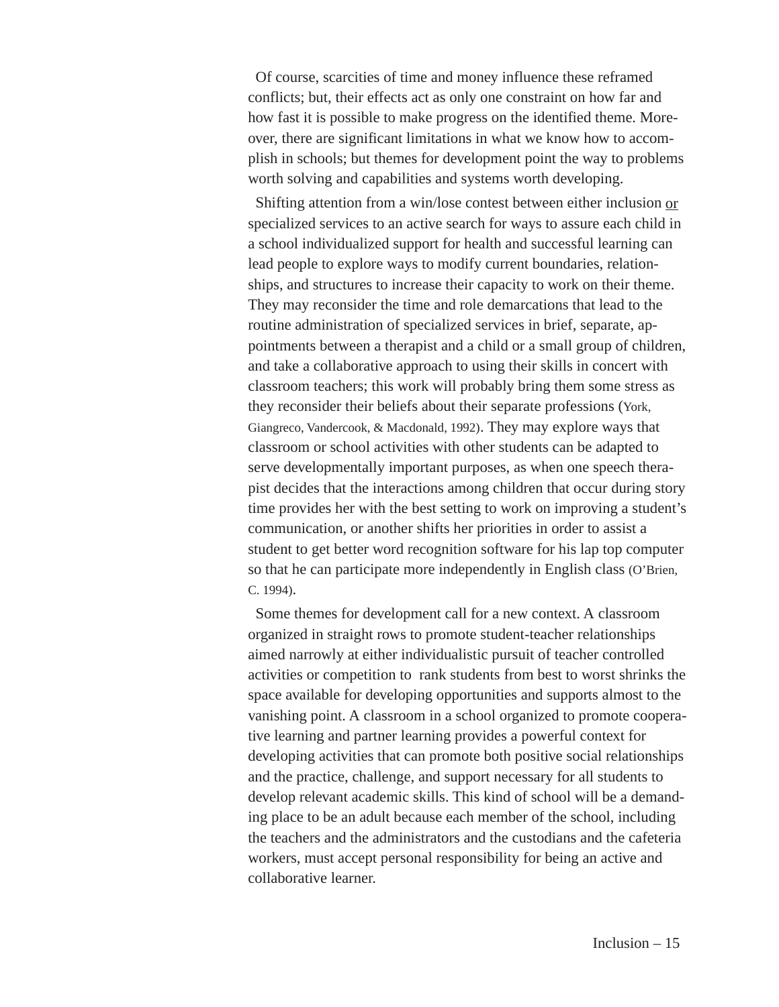Of course, scarcities of time and money influence these reframed conflicts; but, their effects act as only one constraint on how far and how fast it is possible to make progress on the identified theme. Moreover, there are significant limitations in what we know how to accomplish in schools; but themes for development point the way to problems worth solving and capabilities and systems worth developing.

Shifting attention from a win/lose contest between either inclusion or specialized services to an active search for ways to assure each child in a school individualized support for health and successful learning can lead people to explore ways to modify current boundaries, relationships, and structures to increase their capacity to work on their theme. They may reconsider the time and role demarcations that lead to the routine administration of specialized services in brief, separate, appointments between a therapist and a child or a small group of children, and take a collaborative approach to using their skills in concert with classroom teachers; this work will probably bring them some stress as they reconsider their beliefs about their separate professions (York, Giangreco, Vandercook, & Macdonald, 1992). They may explore ways that classroom or school activities with other students can be adapted to serve developmentally important purposes, as when one speech therapist decides that the interactions among children that occur during story time provides her with the best setting to work on improving a student's communication, or another shifts her priorities in order to assist a student to get better word recognition software for his lap top computer so that he can participate more independently in English class (O'Brien, C. 1994).

Some themes for development call for a new context. A classroom organized in straight rows to promote student-teacher relationships aimed narrowly at either individualistic pursuit of teacher controlled activities or competition to rank students from best to worst shrinks the space available for developing opportunities and supports almost to the vanishing point. A classroom in a school organized to promote cooperative learning and partner learning provides a powerful context for developing activities that can promote both positive social relationships and the practice, challenge, and support necessary for all students to develop relevant academic skills. This kind of school will be a demanding place to be an adult because each member of the school, including the teachers and the administrators and the custodians and the cafeteria workers, must accept personal responsibility for being an active and collaborative learner.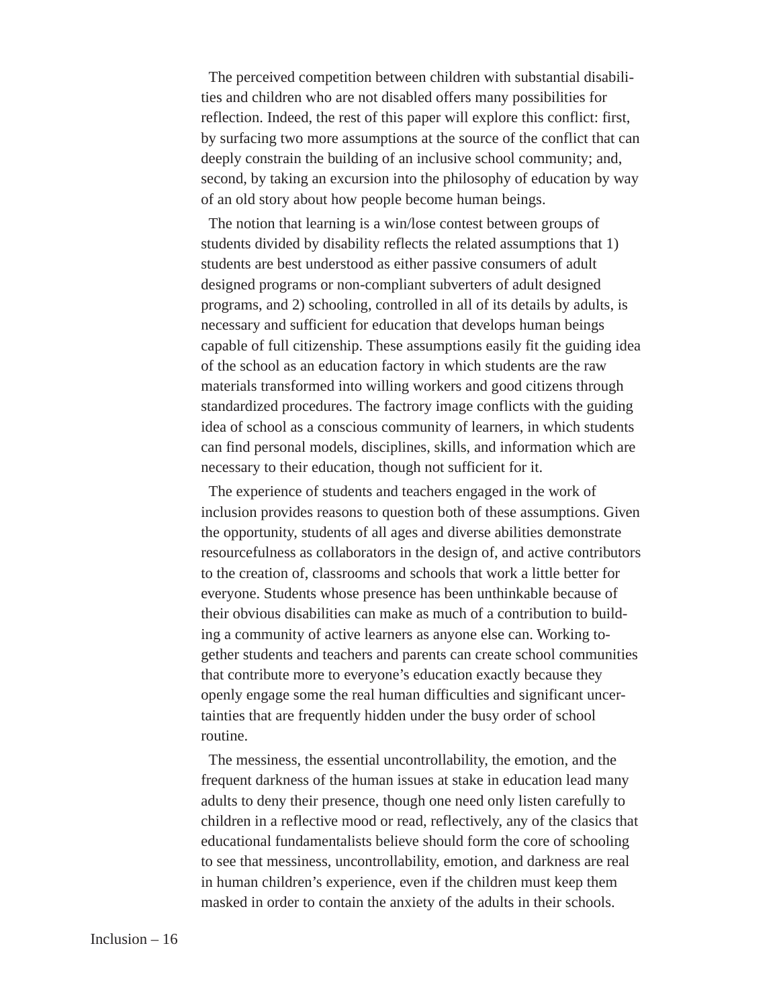The perceived competition between children with substantial disabilities and children who are not disabled offers many possibilities for reflection. Indeed, the rest of this paper will explore this conflict: first, by surfacing two more assumptions at the source of the conflict that can deeply constrain the building of an inclusive school community; and, second, by taking an excursion into the philosophy of education by way of an old story about how people become human beings.

The notion that learning is a win/lose contest between groups of students divided by disability reflects the related assumptions that 1) students are best understood as either passive consumers of adult designed programs or non-compliant subverters of adult designed programs, and 2) schooling, controlled in all of its details by adults, is necessary and sufficient for education that develops human beings capable of full citizenship. These assumptions easily fit the guiding idea of the school as an education factory in which students are the raw materials transformed into willing workers and good citizens through standardized procedures. The factrory image conflicts with the guiding idea of school as a conscious community of learners, in which students can find personal models, disciplines, skills, and information which are necessary to their education, though not sufficient for it.

The experience of students and teachers engaged in the work of inclusion provides reasons to question both of these assumptions. Given the opportunity, students of all ages and diverse abilities demonstrate resourcefulness as collaborators in the design of, and active contributors to the creation of, classrooms and schools that work a little better for everyone. Students whose presence has been unthinkable because of their obvious disabilities can make as much of a contribution to building a community of active learners as anyone else can. Working together students and teachers and parents can create school communities that contribute more to everyone's education exactly because they openly engage some the real human difficulties and significant uncertainties that are frequently hidden under the busy order of school routine.

The messiness, the essential uncontrollability, the emotion, and the frequent darkness of the human issues at stake in education lead many adults to deny their presence, though one need only listen carefully to children in a reflective mood or read, reflectively, any of the clasics that educational fundamentalists believe should form the core of schooling to see that messiness, uncontrollability, emotion, and darkness are real in human children's experience, even if the children must keep them masked in order to contain the anxiety of the adults in their schools.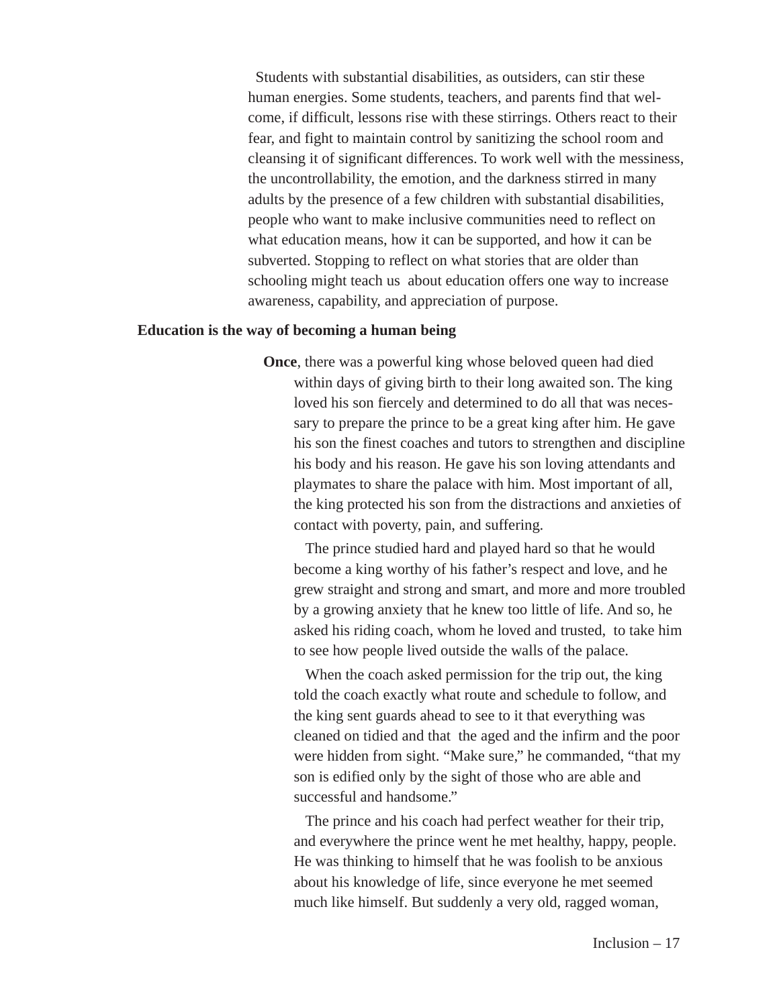Students with substantial disabilities, as outsiders, can stir these human energies. Some students, teachers, and parents find that welcome, if difficult, lessons rise with these stirrings. Others react to their fear, and fight to maintain control by sanitizing the school room and cleansing it of significant differences. To work well with the messiness, the uncontrollability, the emotion, and the darkness stirred in many adults by the presence of a few children with substantial disabilities, people who want to make inclusive communities need to reflect on what education means, how it can be supported, and how it can be subverted. Stopping to reflect on what stories that are older than schooling might teach us about education offers one way to increase awareness, capability, and appreciation of purpose.

## **Education is the way of becoming a human being**

**Once**, there was a powerful king whose beloved queen had died within days of giving birth to their long awaited son. The king loved his son fiercely and determined to do all that was necessary to prepare the prince to be a great king after him. He gave his son the finest coaches and tutors to strengthen and discipline his body and his reason. He gave his son loving attendants and playmates to share the palace with him. Most important of all, the king protected his son from the distractions and anxieties of contact with poverty, pain, and suffering.

The prince studied hard and played hard so that he would become a king worthy of his father's respect and love, and he grew straight and strong and smart, and more and more troubled by a growing anxiety that he knew too little of life. And so, he asked his riding coach, whom he loved and trusted, to take him to see how people lived outside the walls of the palace.

When the coach asked permission for the trip out, the king told the coach exactly what route and schedule to follow, and the king sent guards ahead to see to it that everything was cleaned on tidied and that the aged and the infirm and the poor were hidden from sight. "Make sure," he commanded, "that my son is edified only by the sight of those who are able and successful and handsome."

The prince and his coach had perfect weather for their trip, and everywhere the prince went he met healthy, happy, people. He was thinking to himself that he was foolish to be anxious about his knowledge of life, since everyone he met seemed much like himself. But suddenly a very old, ragged woman,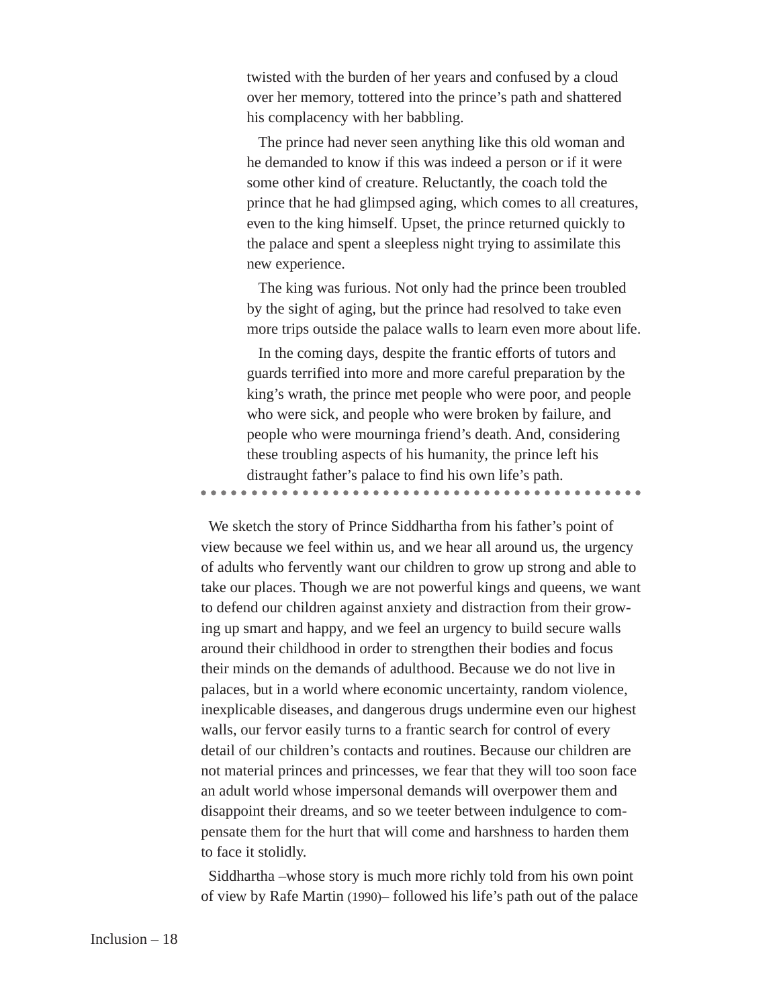twisted with the burden of her years and confused by a cloud over her memory, tottered into the prince's path and shattered his complacency with her babbling.

The prince had never seen anything like this old woman and he demanded to know if this was indeed a person or if it were some other kind of creature. Reluctantly, the coach told the prince that he had glimpsed aging, which comes to all creatures, even to the king himself. Upset, the prince returned quickly to the palace and spent a sleepless night trying to assimilate this new experience.

The king was furious. Not only had the prince been troubled by the sight of aging, but the prince had resolved to take even more trips outside the palace walls to learn even more about life.

In the coming days, despite the frantic efforts of tutors and guards terrified into more and more careful preparation by the king's wrath, the prince met people who were poor, and people who were sick, and people who were broken by failure, and people who were mourninga friend's death. And, considering these troubling aspects of his humanity, the prince left his distraught father's palace to find his own life's path.

aaaaaaaaaaaa aaaaaaaaaaaaaaaaaaaaaaaaaaaaaaaa

We sketch the story of Prince Siddhartha from his father's point of view because we feel within us, and we hear all around us, the urgency of adults who fervently want our children to grow up strong and able to take our places. Though we are not powerful kings and queens, we want to defend our children against anxiety and distraction from their growing up smart and happy, and we feel an urgency to build secure walls around their childhood in order to strengthen their bodies and focus their minds on the demands of adulthood. Because we do not live in palaces, but in a world where economic uncertainty, random violence, inexplicable diseases, and dangerous drugs undermine even our highest walls, our fervor easily turns to a frantic search for control of every detail of our children's contacts and routines. Because our children are not material princes and princesses, we fear that they will too soon face an adult world whose impersonal demands will overpower them and disappoint their dreams, and so we teeter between indulgence to compensate them for the hurt that will come and harshness to harden them to face it stolidly.

Siddhartha –whose story is much more richly told from his own point of view by Rafe Martin (1990)– followed his life's path out of the palace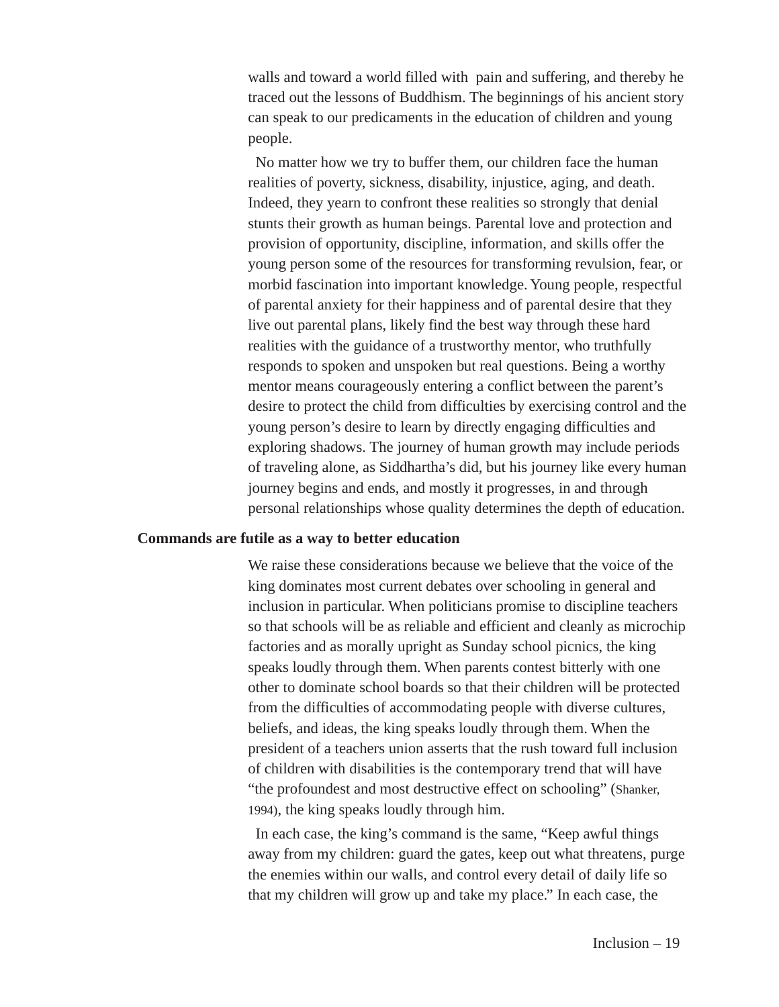walls and toward a world filled with pain and suffering, and thereby he traced out the lessons of Buddhism. The beginnings of his ancient story can speak to our predicaments in the education of children and young people.

No matter how we try to buffer them, our children face the human realities of poverty, sickness, disability, injustice, aging, and death. Indeed, they yearn to confront these realities so strongly that denial stunts their growth as human beings. Parental love and protection and provision of opportunity, discipline, information, and skills offer the young person some of the resources for transforming revulsion, fear, or morbid fascination into important knowledge. Young people, respectful of parental anxiety for their happiness and of parental desire that they live out parental plans, likely find the best way through these hard realities with the guidance of a trustworthy mentor, who truthfully responds to spoken and unspoken but real questions. Being a worthy mentor means courageously entering a conflict between the parent's desire to protect the child from difficulties by exercising control and the young person's desire to learn by directly engaging difficulties and exploring shadows. The journey of human growth may include periods of traveling alone, as Siddhartha's did, but his journey like every human journey begins and ends, and mostly it progresses, in and through personal relationships whose quality determines the depth of education.

## **Commands are futile as a way to better education**

We raise these considerations because we believe that the voice of the king dominates most current debates over schooling in general and inclusion in particular. When politicians promise to discipline teachers so that schools will be as reliable and efficient and cleanly as microchip factories and as morally upright as Sunday school picnics, the king speaks loudly through them. When parents contest bitterly with one other to dominate school boards so that their children will be protected from the difficulties of accommodating people with diverse cultures, beliefs, and ideas, the king speaks loudly through them. When the president of a teachers union asserts that the rush toward full inclusion of children with disabilities is the contemporary trend that will have "the profoundest and most destructive effect on schooling" (Shanker, 1994), the king speaks loudly through him.

In each case, the king's command is the same, "Keep awful things away from my children: guard the gates, keep out what threatens, purge the enemies within our walls, and control every detail of daily life so that my children will grow up and take my place." In each case, the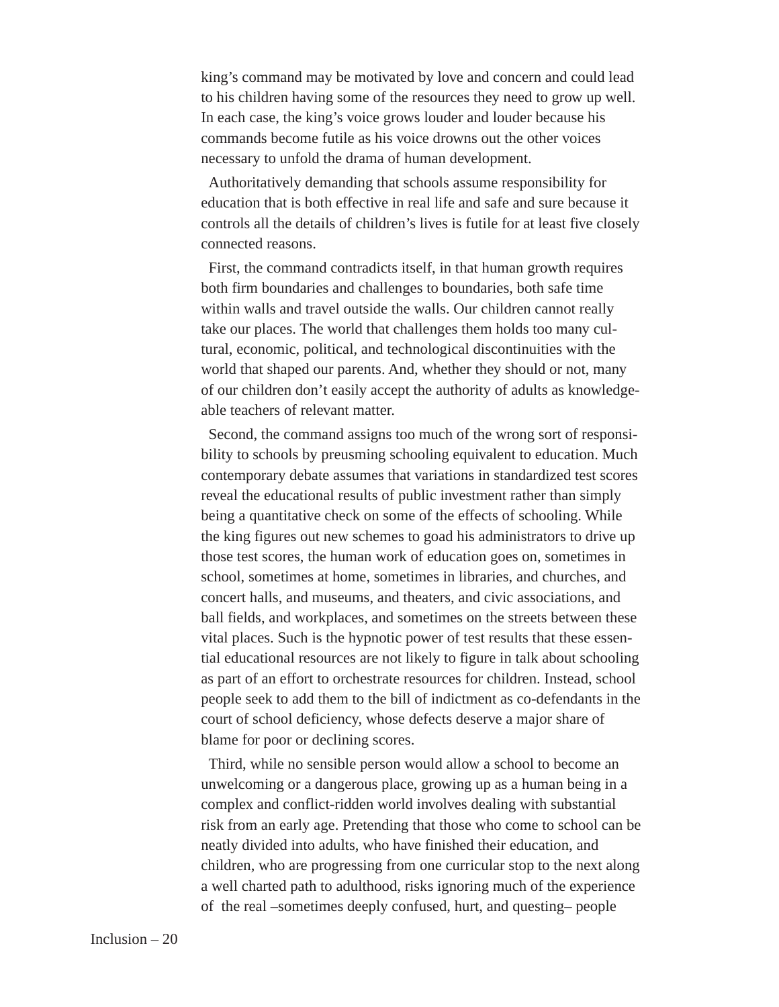king's command may be motivated by love and concern and could lead to his children having some of the resources they need to grow up well. In each case, the king's voice grows louder and louder because his commands become futile as his voice drowns out the other voices necessary to unfold the drama of human development.

Authoritatively demanding that schools assume responsibility for education that is both effective in real life and safe and sure because it controls all the details of children's lives is futile for at least five closely connected reasons.

First, the command contradicts itself, in that human growth requires both firm boundaries and challenges to boundaries, both safe time within walls and travel outside the walls. Our children cannot really take our places. The world that challenges them holds too many cultural, economic, political, and technological discontinuities with the world that shaped our parents. And, whether they should or not, many of our children don't easily accept the authority of adults as knowledgeable teachers of relevant matter.

Second, the command assigns too much of the wrong sort of responsibility to schools by preusming schooling equivalent to education. Much contemporary debate assumes that variations in standardized test scores reveal the educational results of public investment rather than simply being a quantitative check on some of the effects of schooling. While the king figures out new schemes to goad his administrators to drive up those test scores, the human work of education goes on, sometimes in school, sometimes at home, sometimes in libraries, and churches, and concert halls, and museums, and theaters, and civic associations, and ball fields, and workplaces, and sometimes on the streets between these vital places. Such is the hypnotic power of test results that these essential educational resources are not likely to figure in talk about schooling as part of an effort to orchestrate resources for children. Instead, school people seek to add them to the bill of indictment as co-defendants in the court of school deficiency, whose defects deserve a major share of blame for poor or declining scores.

Third, while no sensible person would allow a school to become an unwelcoming or a dangerous place, growing up as a human being in a complex and conflict-ridden world involves dealing with substantial risk from an early age. Pretending that those who come to school can be neatly divided into adults, who have finished their education, and children, who are progressing from one curricular stop to the next along a well charted path to adulthood, risks ignoring much of the experience of the real –sometimes deeply confused, hurt, and questing– people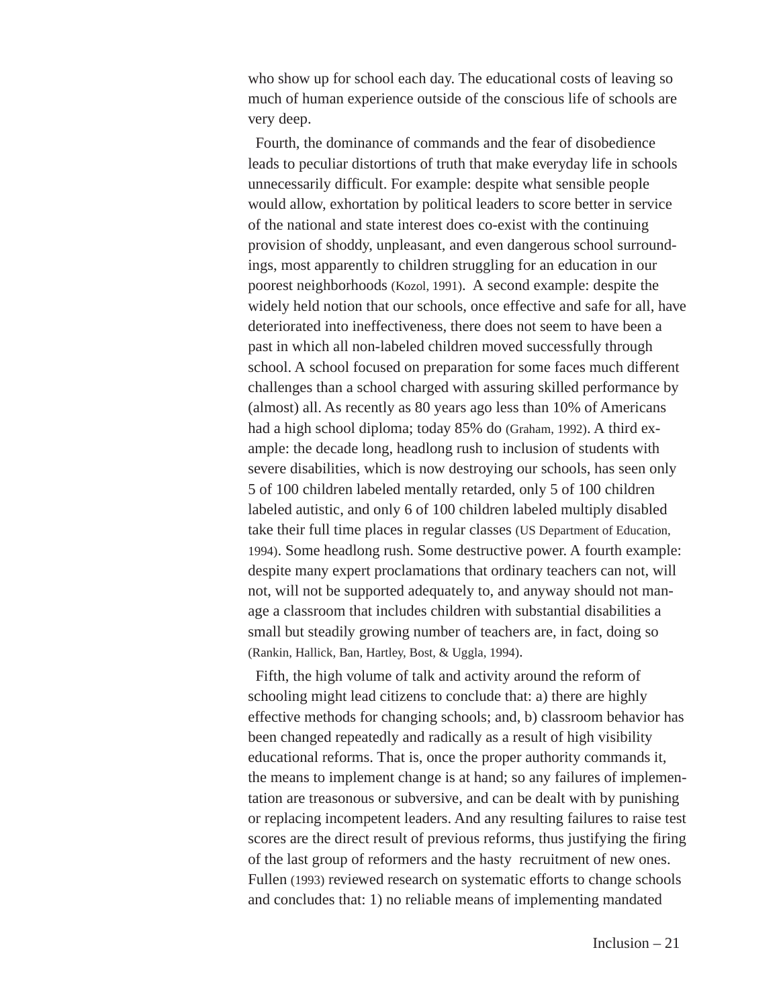who show up for school each day. The educational costs of leaving so much of human experience outside of the conscious life of schools are very deep.

Fourth, the dominance of commands and the fear of disobedience leads to peculiar distortions of truth that make everyday life in schools unnecessarily difficult. For example: despite what sensible people would allow, exhortation by political leaders to score better in service of the national and state interest does co-exist with the continuing provision of shoddy, unpleasant, and even dangerous school surroundings, most apparently to children struggling for an education in our poorest neighborhoods (Kozol, 1991). A second example: despite the widely held notion that our schools, once effective and safe for all, have deteriorated into ineffectiveness, there does not seem to have been a past in which all non-labeled children moved successfully through school. A school focused on preparation for some faces much different challenges than a school charged with assuring skilled performance by (almost) all. As recently as 80 years ago less than 10% of Americans had a high school diploma; today 85% do (Graham, 1992). A third example: the decade long, headlong rush to inclusion of students with severe disabilities, which is now destroying our schools, has seen only 5 of 100 children labeled mentally retarded, only 5 of 100 children labeled autistic, and only 6 of 100 children labeled multiply disabled take their full time places in regular classes (US Department of Education, 1994). Some headlong rush. Some destructive power. A fourth example: despite many expert proclamations that ordinary teachers can not, will not, will not be supported adequately to, and anyway should not manage a classroom that includes children with substantial disabilities a small but steadily growing number of teachers are, in fact, doing so (Rankin, Hallick, Ban, Hartley, Bost, & Uggla, 1994).

Fifth, the high volume of talk and activity around the reform of schooling might lead citizens to conclude that: a) there are highly effective methods for changing schools; and, b) classroom behavior has been changed repeatedly and radically as a result of high visibility educational reforms. That is, once the proper authority commands it, the means to implement change is at hand; so any failures of implementation are treasonous or subversive, and can be dealt with by punishing or replacing incompetent leaders. And any resulting failures to raise test scores are the direct result of previous reforms, thus justifying the firing of the last group of reformers and the hasty recruitment of new ones. Fullen (1993) reviewed research on systematic efforts to change schools and concludes that: 1) no reliable means of implementing mandated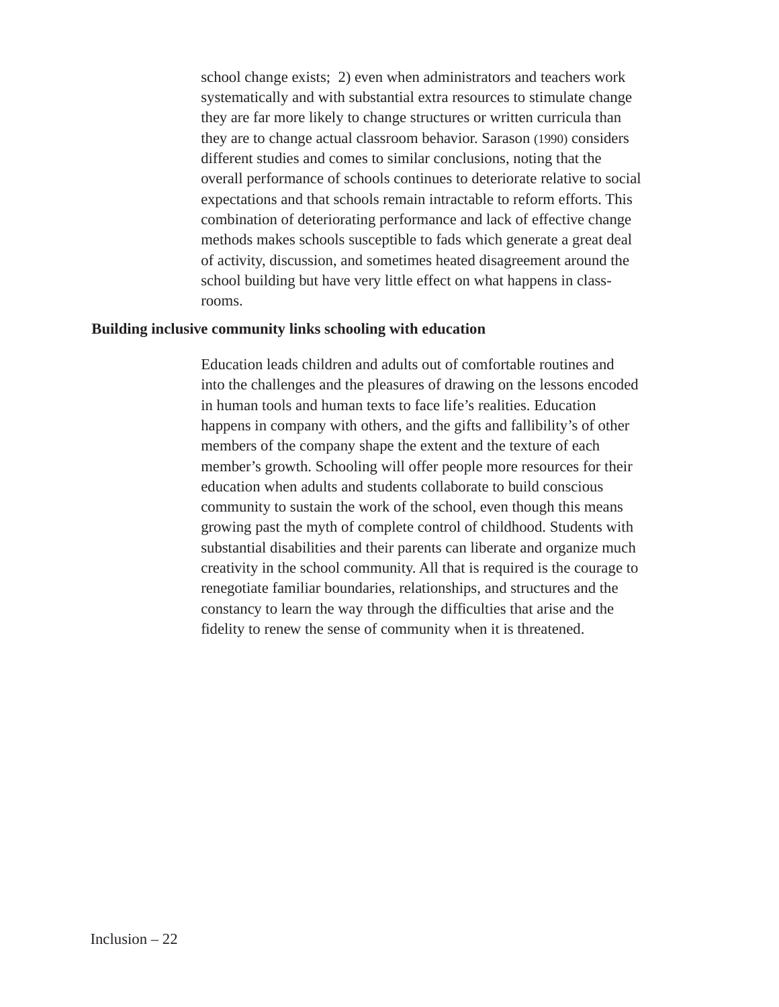school change exists; 2) even when administrators and teachers work systematically and with substantial extra resources to stimulate change they are far more likely to change structures or written curricula than they are to change actual classroom behavior. Sarason (1990) considers different studies and comes to similar conclusions, noting that the overall performance of schools continues to deteriorate relative to social expectations and that schools remain intractable to reform efforts. This combination of deteriorating performance and lack of effective change methods makes schools susceptible to fads which generate a great deal of activity, discussion, and sometimes heated disagreement around the school building but have very little effect on what happens in classrooms.

## **Building inclusive community links schooling with education**

Education leads children and adults out of comfortable routines and into the challenges and the pleasures of drawing on the lessons encoded in human tools and human texts to face life's realities. Education happens in company with others, and the gifts and fallibility's of other members of the company shape the extent and the texture of each member's growth. Schooling will offer people more resources for their education when adults and students collaborate to build conscious community to sustain the work of the school, even though this means growing past the myth of complete control of childhood. Students with substantial disabilities and their parents can liberate and organize much creativity in the school community. All that is required is the courage to renegotiate familiar boundaries, relationships, and structures and the constancy to learn the way through the difficulties that arise and the fidelity to renew the sense of community when it is threatened.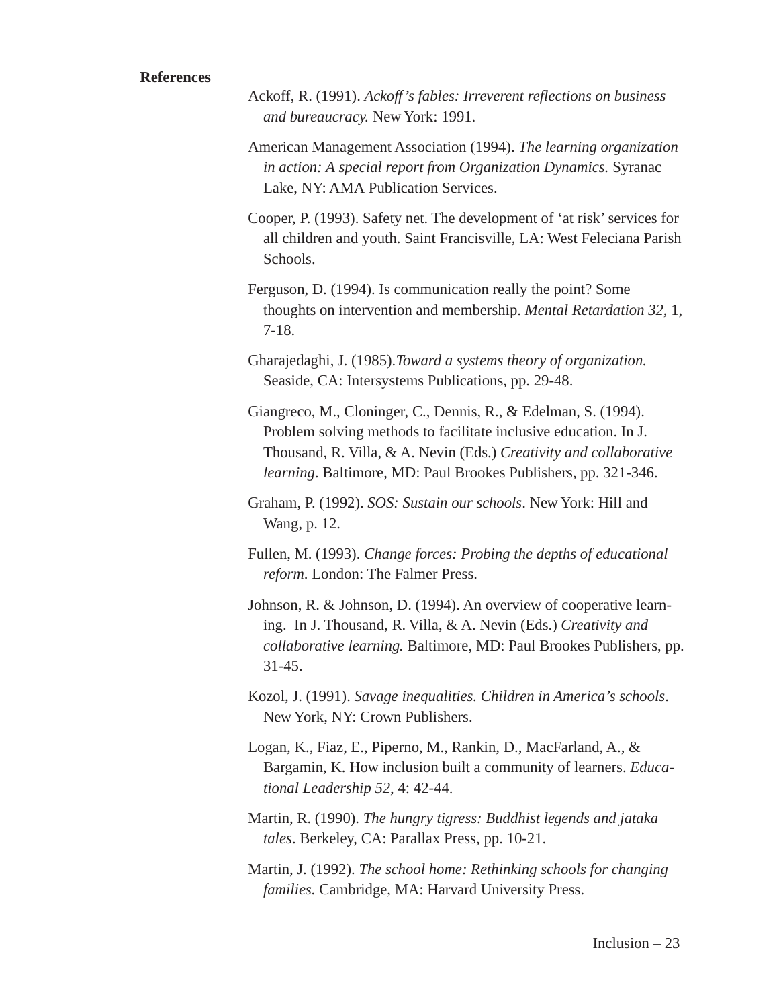## **References**

- Ackoff, R. (1991). *Ackoff's fables: Irreverent reflections on business and bureaucracy.* New York: 1991.
- American Management Association (1994). *The learning organization in action: A special report from Organization Dynamics.* Syranac Lake, NY: AMA Publication Services.
- Cooper, P. (1993). Safety net. The development of 'at risk' services for all children and youth. Saint Francisville, LA: West Feleciana Parish Schools.
- Ferguson, D. (1994). Is communication really the point? Some thoughts on intervention and membership. *Mental Retardation 32*, 1, 7-18.
- Gharajedaghi, J. (1985).*Toward a systems theory of organization.* Seaside, CA: Intersystems Publications, pp. 29-48.
- Giangreco, M., Cloninger, C., Dennis, R., & Edelman, S. (1994). Problem solving methods to facilitate inclusive education. In J. Thousand, R. Villa, & A. Nevin (Eds.) *Creativity and collaborative learning*. Baltimore, MD: Paul Brookes Publishers, pp. 321-346.
- Graham, P. (1992). *SOS: Sustain our schools*. New York: Hill and Wang, p. 12.
- Fullen, M. (1993). *Change forces: Probing the depths of educational reform*. London: The Falmer Press.
- Johnson, R. & Johnson, D. (1994). An overview of cooperative learning. In J. Thousand, R. Villa, & A. Nevin (Eds.) *Creativity and collaborative learning.* Baltimore, MD: Paul Brookes Publishers, pp. 31-45.
- Kozol, J. (1991). *Savage inequalities. Children in America's schools*. New York, NY: Crown Publishers.
- Logan, K., Fiaz, E., Piperno, M., Rankin, D., MacFarland, A., & Bargamin, K. How inclusion built a community of learners. *Educational Leadership 52*, 4: 42-44.
- Martin, R. (1990). *The hungry tigress: Buddhist legends and jataka tales*. Berkeley, CA: Parallax Press, pp. 10-21.
- Martin, J. (1992). *The school home: Rethinking schools for changing families.* Cambridge, MA: Harvard University Press.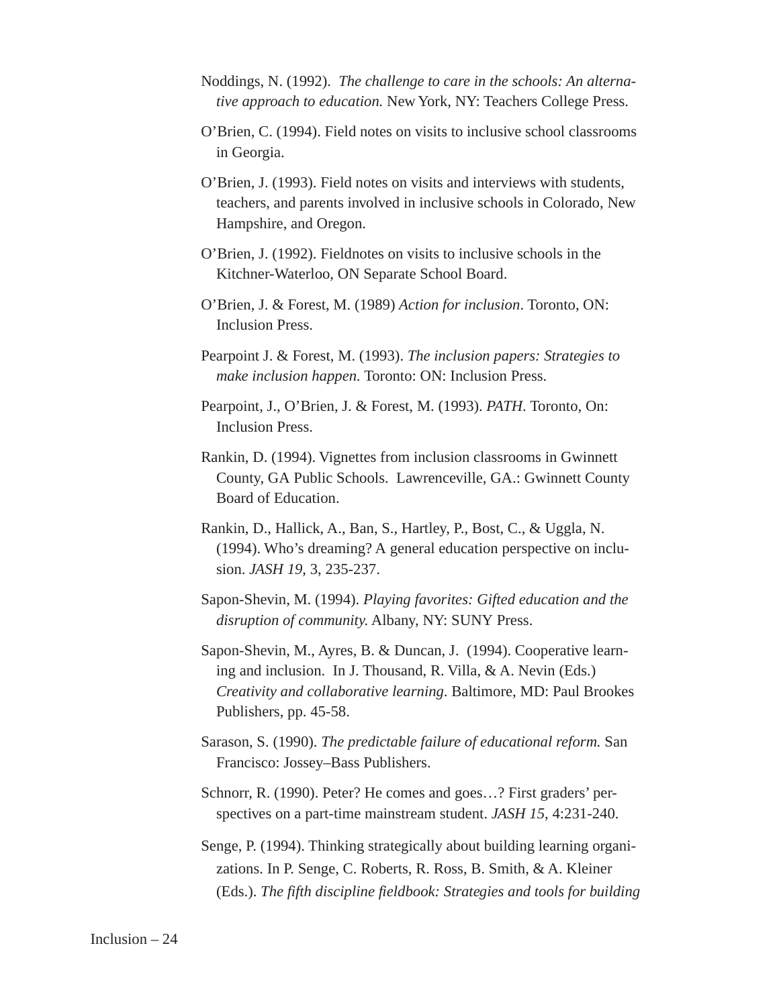- Noddings, N. (1992). *The challenge to care in the schools: An alternative approach to education.* New York, NY: Teachers College Press.
- O'Brien, C. (1994). Field notes on visits to inclusive school classrooms in Georgia.
- O'Brien, J. (1993). Field notes on visits and interviews with students, teachers, and parents involved in inclusive schools in Colorado, New Hampshire, and Oregon.
- O'Brien, J. (1992). Fieldnotes on visits to inclusive schools in the Kitchner-Waterloo, ON Separate School Board.
- O'Brien, J. & Forest, M. (1989) *Action for inclusion*. Toronto, ON: Inclusion Press.
- Pearpoint J. & Forest, M. (1993). *The inclusion papers: Strategies to make inclusion happen.* Toronto: ON: Inclusion Press.
- Pearpoint, J., O'Brien, J. & Forest, M. (1993). *PATH*. Toronto, On: Inclusion Press.
- Rankin, D. (1994). Vignettes from inclusion classrooms in Gwinnett County, GA Public Schools. Lawrenceville, GA.: Gwinnett County Board of Education.
- Rankin, D., Hallick, A., Ban, S., Hartley, P., Bost, C., & Uggla, N. (1994). Who's dreaming? A general education perspective on inclusion. *JASH 19*, 3, 235-237.
- Sapon-Shevin, M. (1994). *Playing favorites: Gifted education and the disruption of community.* Albany, NY: SUNY Press.
- Sapon-Shevin, M., Ayres, B. & Duncan, J. (1994). Cooperative learning and inclusion. In J. Thousand, R. Villa, & A. Nevin (Eds.) *Creativity and collaborative learning*. Baltimore, MD: Paul Brookes Publishers, pp. 45-58.
- Sarason, S. (1990). *The predictable failure of educational reform.* San Francisco: Jossey–Bass Publishers.
- Schnorr, R. (1990). Peter? He comes and goes…? First graders' perspectives on a part-time mainstream student. *JASH 15*, 4:231-240.
- Senge, P. (1994). Thinking strategically about building learning organizations. In P. Senge, C. Roberts, R. Ross, B. Smith, & A. Kleiner (Eds.). *The fifth discipline fieldbook: Strategies and tools for building*